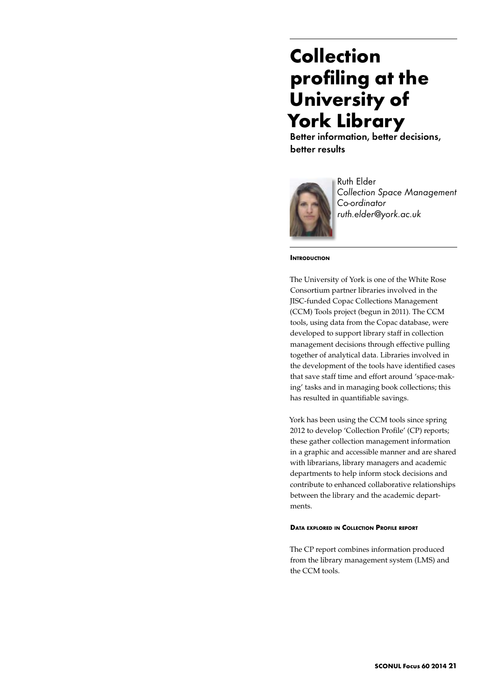# **Collection profiling at the University of York Library**

Better information, better decisions, better results



Ruth Elder *Collection Space Management Co-ordinator ruth.elder@york.ac.uk* 

#### **INTRODUCTION**

The University of York is one of the White Rose Consortium partner libraries involved in the JISC-funded Copac Collections Management (CCM) Tools project (begun in 2011). The CCM tools, using data from the Copac database, were developed to support library staff in collection management decisions through effective pulling together of analytical data. Libraries involved in the development of the tools have identified cases that save staff time and effort around 'space-making' tasks and in managing book collections; this has resulted in quantifiable savings.

York has been using the CCM tools since spring 2012 to develop 'Collection Profile' (CP) reports; these gather collection management information in a graphic and accessible manner and are shared with librarians, library managers and academic departments to help inform stock decisions and contribute to enhanced collaborative relationships between the library and the academic departments.

#### **Data explored in Collection Profile report**

The CP report combines information produced from the library management system (LMS) and the CCM tools.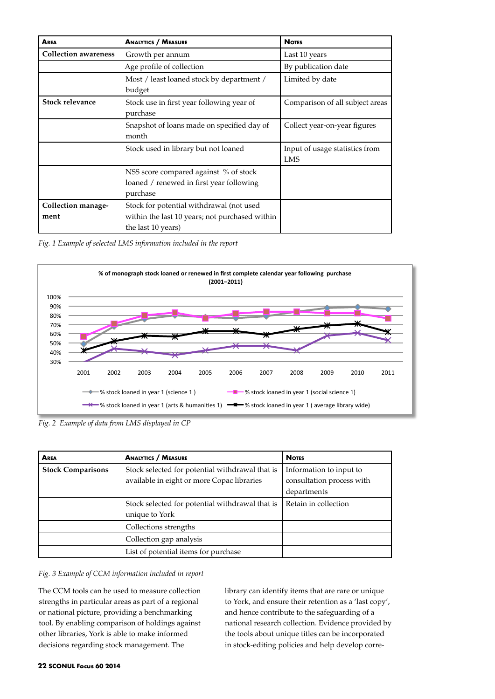| AREA                        | <b>ANALYTICS / MEASURE</b>                                                                                       | <b>NOTES</b>                                 |
|-----------------------------|------------------------------------------------------------------------------------------------------------------|----------------------------------------------|
| <b>Collection awareness</b> | Growth per annum                                                                                                 | Last 10 years                                |
|                             | Age profile of collection                                                                                        | By publication date                          |
|                             | Most / least loaned stock by department /<br>budget                                                              | Limited by date                              |
| Stock relevance             | Stock use in first year following year of<br>purchase                                                            | Comparison of all subject areas              |
|                             | Snapshot of loans made on specified day of<br>month                                                              | Collect year-on-year figures                 |
|                             | Stock used in library but not loaned                                                                             | Input of usage statistics from<br><b>LMS</b> |
|                             | NSS score compared against % of stock<br>loaned / renewed in first year following<br>purchase                    |                                              |
| Collection manage-<br>ment  | Stock for potential withdrawal (not used<br>within the last 10 years; not purchased within<br>the last 10 years) |                                              |

*Fig. 1 Example of selected LMS information included in the report*



*Fig. 2 Example of data from LMS displayed in CP* 

| AREA                     | <b>ANALYTICS / MEASURE</b>                                                                    | <b>NOTES</b>                                                        |
|--------------------------|-----------------------------------------------------------------------------------------------|---------------------------------------------------------------------|
| <b>Stock Comparisons</b> | Stock selected for potential withdrawal that is<br>available in eight or more Copac libraries | Information to input to<br>consultation process with<br>departments |
|                          | Stock selected for potential withdrawal that is<br>unique to York                             | Retain in collection                                                |
|                          | Collections strengths                                                                         |                                                                     |
|                          | Collection gap analysis                                                                       |                                                                     |
|                          | List of potential items for purchase                                                          |                                                                     |

# *Fig. 3 Example of CCM information included in report*

The CCM tools can be used to measure collection strengths in particular areas as part of a regional or national picture, providing a benchmarking tool. By enabling comparison of holdings against other libraries, York is able to make informed decisions regarding stock management. The

library can identify items that are rare or unique to York, and ensure their retention as a 'last copy', and hence contribute to the safeguarding of a national research collection. Evidence provided by the tools about unique titles can be incorporated in stock-editing policies and help develop corre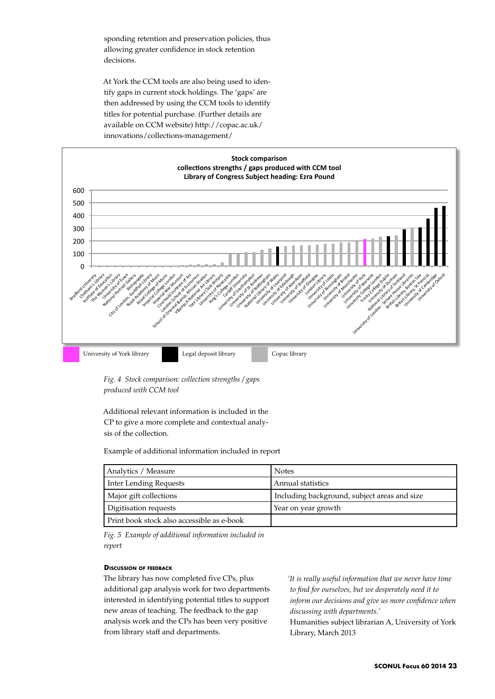sponding retention and preservation policies, thus allowing greater confidence in stock retention decisions.

At York the CCM tools are also being used to identify gaps in current stock holdings. The 'gaps' are then addressed by using the CCM tools to identify titles for potential purchase. (Further details are available on CCM website) http://copac.ac.uk/ innovations/collections-management/



*Fig. 4 Stock comparison: collection strengths / gaps produced with CCM tool*

Additional relevant information is included in the CP to give a more complete and contextual analysis of the collection.

Example of additional information included in report

| Analytics / Measure                        | <b>Notes</b>                                 |  |
|--------------------------------------------|----------------------------------------------|--|
| <b>Inter Lending Requests</b>              | Annual statistics                            |  |
| Major gift collections                     | Including background, subject areas and size |  |
| Digitisation requests                      | Year on year growth                          |  |
| Print book stock also accessible as e-book |                                              |  |

*Fig. 5 Example of additional information included in report*

## **Discussion of feedback**

The library has now completed five CPs, plus additional gap analysis work for two departments interested in identifying potential titles to support new areas of teaching. The feedback to the gap analysis work and the CPs has been very positive from library staff and departments.

*'It is really useful information that we never have time to find for ourselves, but we desperately need it to inform our decisions and give us more confidence when discussing with departments.'*

Humanities subject librarian A, University of York Library, March 2013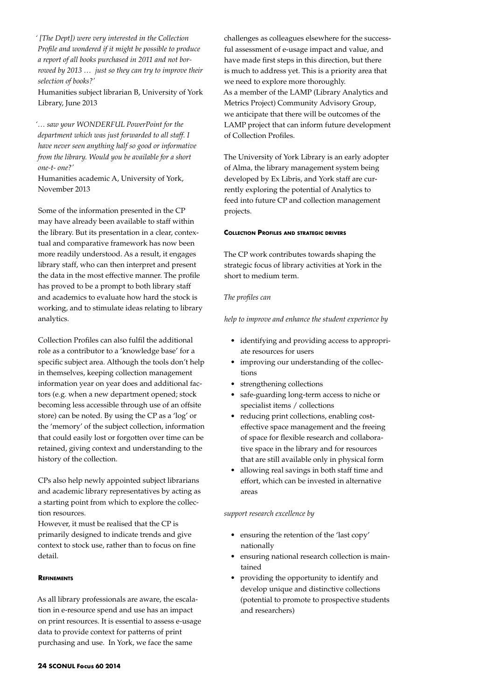*' [The Dept]) were very interested in the Collection Profile and wondered if it might be possible to produce a report of all books purchased in 2011 and not borrowed by 2013 … just so they can try to improve their selection of books?'*

Humanities subject librarian B, University of York Library, June 2013

*'… saw your WONDERFUL PowerPoint for the department which was just forwarded to all staff. I have never seen anything half so good or informative from the library. Would you be available for a short one-t- one?'*

Humanities academic A, University of York, November 2013

Some of the information presented in the CP may have already been available to staff within the library. But its presentation in a clear, contextual and comparative framework has now been more readily understood. As a result, it engages library staff, who can then interpret and present the data in the most effective manner. The profile has proved to be a prompt to both library staff and academics to evaluate how hard the stock is working, and to stimulate ideas relating to library analytics.

Collection Profiles can also fulfil the additional role as a contributor to a 'knowledge base' for a specific subject area. Although the tools don't help in themselves, keeping collection management information year on year does and additional factors (e.g. when a new department opened; stock becoming less accessible through use of an offsite store) can be noted. By using the CP as a 'log' or the 'memory' of the subject collection, information that could easily lost or forgotten over time can be retained, giving context and understanding to the history of the collection.

CPs also help newly appointed subject librarians and academic library representatives by acting as a starting point from which to explore the collection resources.

However, it must be realised that the CP is primarily designed to indicate trends and give context to stock use, rather than to focus on fine detail.

#### **Refinements**

As all library professionals are aware, the escalation in e-resource spend and use has an impact on print resources. It is essential to assess e-usage data to provide context for patterns of print purchasing and use. In York, we face the same

challenges as colleagues elsewhere for the successful assessment of e-usage impact and value, and have made first steps in this direction, but there is much to address yet. This is a priority area that we need to explore more thoroughly. As a member of the LAMP (Library Analytics and Metrics Project) Community Advisory Group, we anticipate that there will be outcomes of the LAMP project that can inform future development of Collection Profiles.

The University of York Library is an early adopter of Alma, the library management system being developed by Ex Libris, and York staff are currently exploring the potential of Analytics to feed into future CP and collection management projects.

### **Collection Profiles and strategic drivers**

The CP work contributes towards shaping the strategic focus of library activities at York in the short to medium term.

#### *The profiles can*

*help to improve and enhance the student experience by*

- • identifying and providing access to appropriate resources for users
- improving our understanding of the collections
- strengthening collections
- • safe-guarding long-term access to niche or specialist items / collections
- reducing print collections, enabling costeffective space management and the freeing of space for flexible research and collaborative space in the library and for resources that are still available only in physical form
- allowing real savings in both staff time and effort, which can be invested in alternative areas

#### *support research excellence by*

- • ensuring the retention of the 'last copy' nationally
- ensuring national research collection is maintained
- providing the opportunity to identify and develop unique and distinctive collections (potential to promote to prospective students and researchers)